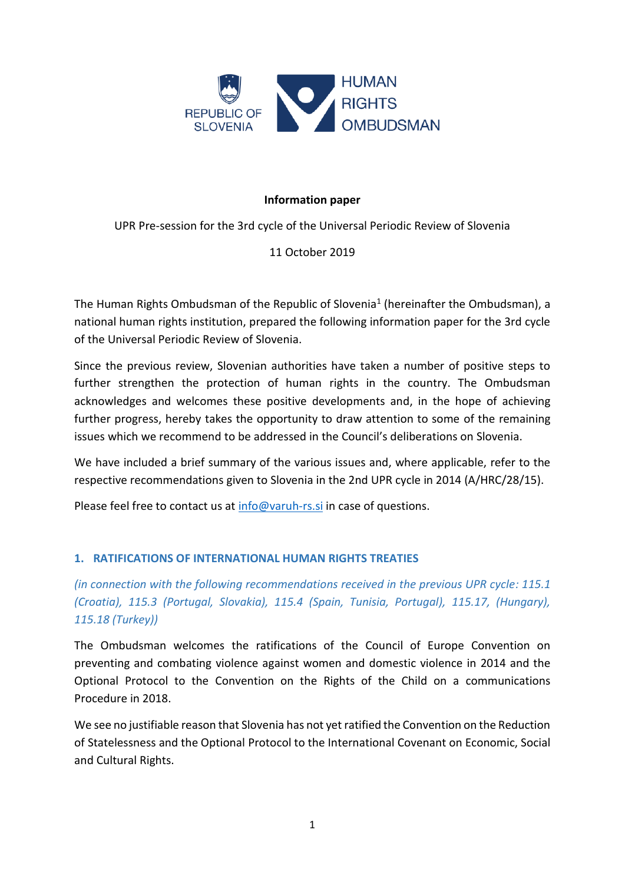

# **Information paper**

UPR Pre-session for the 3rd cycle of the Universal Periodic Review of Slovenia

# 11 October 2019

The Human Rights Ombudsman of the Republic of Slovenia<sup>1</sup> (hereinafter the Ombudsman), a national human rights institution, prepared the following information paper for the 3rd cycle of the Universal Periodic Review of Slovenia.

Since the previous review, Slovenian authorities have taken a number of positive steps to further strengthen the protection of human rights in the country. The Ombudsman acknowledges and welcomes these positive developments and, in the hope of achieving further progress, hereby takes the opportunity to draw attention to some of the remaining issues which we recommend to be addressed in the Council's deliberations on Slovenia.

We have included a brief summary of the various issues and, where applicable, refer to the respective recommendations given to Slovenia in the 2nd UPR cycle in 2014 (A/HRC/28/15).

Please feel free to contact us at [info@varuh-rs.si](mailto:info@varuh-rs.si) in case of questions.

# **1. RATIFICATIONS OF INTERNATIONAL HUMAN RIGHTS TREATIES**

*(in connection with the following recommendations received in the previous UPR cycle: 115.1 (Croatia), 115.3 (Portugal, Slovakia), 115.4 (Spain, Tunisia, Portugal), 115.17, (Hungary), 115.18 (Turkey))*

The Ombudsman welcomes the ratifications of the Council of Europe Convention on preventing and combating violence against women and domestic violence in 2014 and the Optional Protocol to the Convention on the Rights of the Child on a communications Procedure in 2018.

We see no justifiable reason that Slovenia has not yet ratified the Convention on the Reduction of Statelessness and the Optional Protocol to the International Covenant on Economic, Social and Cultural Rights.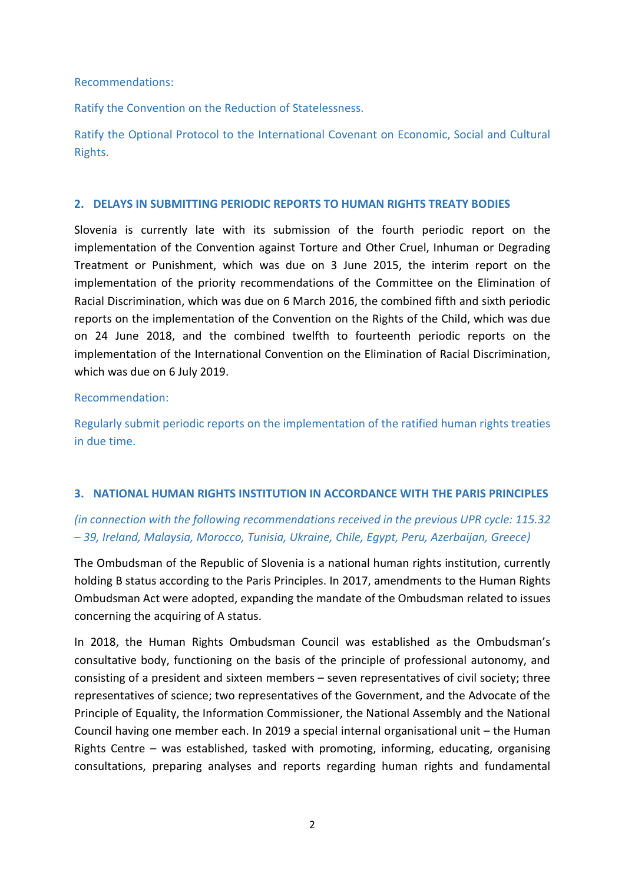Recommendations:

Ratify the Convention on the Reduction of Statelessness.

Ratify the Optional Protocol to the International Covenant on Economic, Social and Cultural Rights.

# **2. DELAYS IN SUBMITTING PERIODIC REPORTS TO HUMAN RIGHTS TREATY BODIES**

Slovenia is currently late with its submission of the fourth periodic report on the implementation of the Convention against Torture and Other Cruel, Inhuman or Degrading Treatment or Punishment, which was due on 3 June 2015, the interim report on the implementation of the priority recommendations of the Committee on the Elimination of Racial Discrimination, which was due on 6 March 2016, the combined fifth and sixth periodic reports on the implementation of the Convention on the Rights of the Child, which was due on 24 June 2018, and the combined twelfth to fourteenth periodic reports on the implementation of the International Convention on the Elimination of Racial Discrimination, which was due on 6 July 2019.

# Recommendation:

Regularly submit periodic reports on the implementation of the ratified human rights treaties in due time.

# **3. NATIONAL HUMAN RIGHTS INSTITUTION IN ACCORDANCE WITH THE PARIS PRINCIPLES**

# *(in connection with the following recommendations received in the previous UPR cycle: 115.32 – 39, Ireland, Malaysia, Morocco, Tunisia, Ukraine, Chile, Egypt, Peru, Azerbaijan, Greece)*

The Ombudsman of the Republic of Slovenia is a national human rights institution, currently holding B status according to the Paris Principles. In 2017, amendments to the Human Rights Ombudsman Act were adopted, expanding the mandate of the Ombudsman related to issues concerning the acquiring of A status.

In 2018, the Human Rights Ombudsman Council was established as the Ombudsman's consultative body, functioning on the basis of the principle of professional autonomy, and consisting of a president and sixteen members – seven representatives of civil society; three representatives of science; two representatives of the Government, and the Advocate of the Principle of Equality, the Information Commissioner, the National Assembly and the National Council having one member each. In 2019 a special internal organisational unit – the Human Rights Centre – was established, tasked with promoting, informing, educating, organising consultations, preparing analyses and reports regarding human rights and fundamental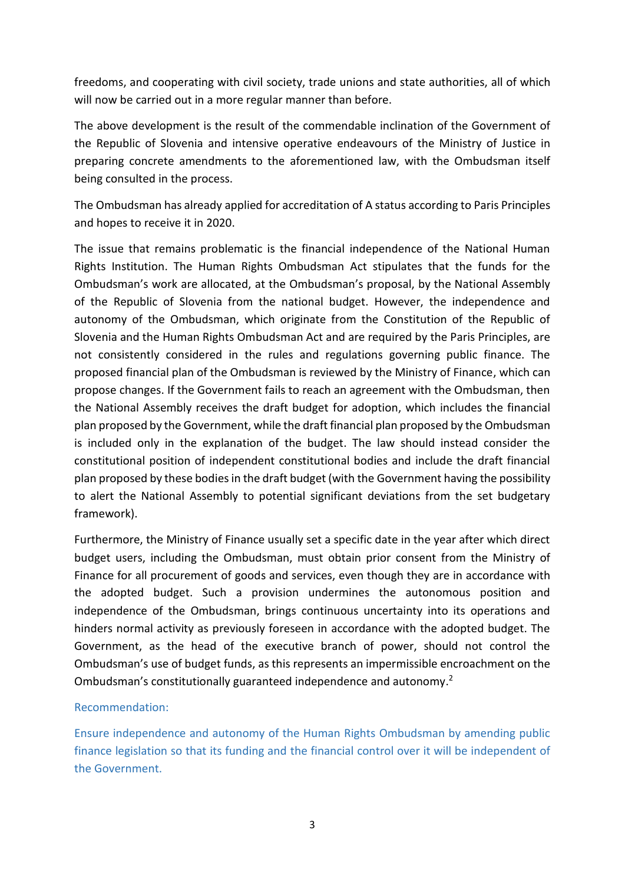freedoms, and cooperating with civil society, trade unions and state authorities, all of which will now be carried out in a more regular manner than before.

The above development is the result of the commendable inclination of the Government of the Republic of Slovenia and intensive operative endeavours of the Ministry of Justice in preparing concrete amendments to the aforementioned law, with the Ombudsman itself being consulted in the process.

The Ombudsman has already applied for accreditation of A status according to Paris Principles and hopes to receive it in 2020.

The issue that remains problematic is the financial independence of the National Human Rights Institution. The Human Rights Ombudsman Act stipulates that the funds for the Ombudsman's work are allocated, at the Ombudsman's proposal, by the National Assembly of the Republic of Slovenia from the national budget. However, the independence and autonomy of the Ombudsman, which originate from the Constitution of the Republic of Slovenia and the Human Rights Ombudsman Act and are required by the Paris Principles, are not consistently considered in the rules and regulations governing public finance. The proposed financial plan of the Ombudsman is reviewed by the Ministry of Finance, which can propose changes. If the Government fails to reach an agreement with the Ombudsman, then the National Assembly receives the draft budget for adoption, which includes the financial plan proposed by the Government, while the draft financial plan proposed by the Ombudsman is included only in the explanation of the budget. The law should instead consider the constitutional position of independent constitutional bodies and include the draft financial plan proposed by these bodies in the draft budget (with the Government having the possibility to alert the National Assembly to potential significant deviations from the set budgetary framework).

Furthermore, the Ministry of Finance usually set a specific date in the year after which direct budget users, including the Ombudsman, must obtain prior consent from the Ministry of Finance for all procurement of goods and services, even though they are in accordance with the adopted budget. Such a provision undermines the autonomous position and independence of the Ombudsman, brings continuous uncertainty into its operations and hinders normal activity as previously foreseen in accordance with the adopted budget. The Government, as the head of the executive branch of power, should not control the Ombudsman's use of budget funds, as this represents an impermissible encroachment on the Ombudsman's constitutionally guaranteed independence and autonomy.<sup>2</sup>

# Recommendation:

Ensure independence and autonomy of the Human Rights Ombudsman by amending public finance legislation so that its funding and the financial control over it will be independent of the Government.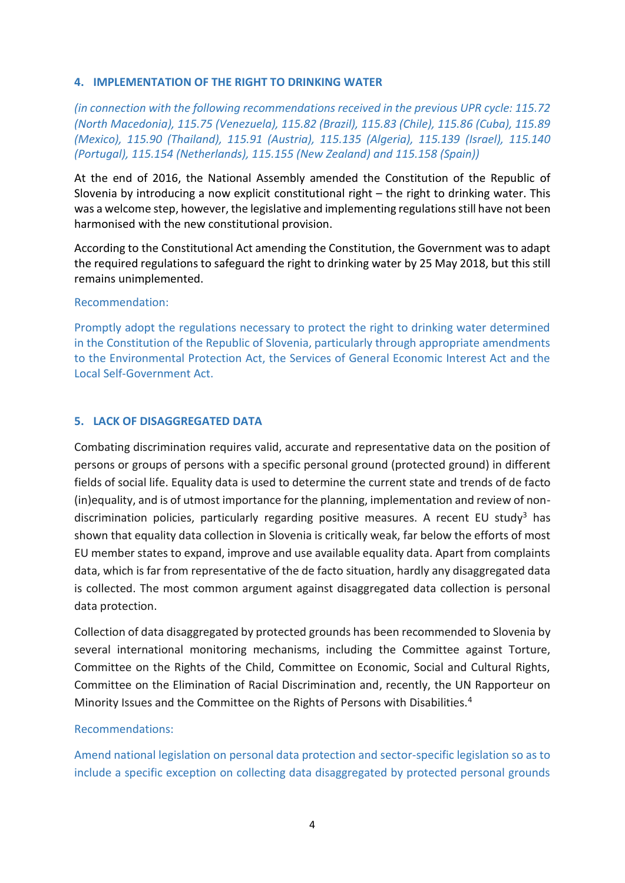# **4. IMPLEMENTATION OF THE RIGHT TO DRINKING WATER**

*(in connection with the following recommendations received in the previous UPR cycle: 115.72 (North Macedonia), 115.75 (Venezuela), 115.82 (Brazil), 115.83 (Chile), 115.86 (Cuba), 115.89 (Mexico), 115.90 (Thailand), 115.91 (Austria), 115.135 (Algeria), 115.139 (Israel), 115.140 (Portugal), 115.154 (Netherlands), 115.155 (New Zealand) and 115.158 (Spain))*

At the end of 2016, the National Assembly amended the Constitution of the Republic of Slovenia by introducing a now explicit constitutional right – the right to drinking water. This was a welcome step, however, the legislative and implementing regulations still have not been harmonised with the new constitutional provision.

According to the Constitutional Act amending the Constitution, the Government was to adapt the required regulations to safeguard the right to drinking water by 25 May 2018, but this still remains unimplemented.

#### Recommendation:

Promptly adopt the regulations necessary to protect the right to drinking water determined in the Constitution of the Republic of Slovenia, particularly through appropriate amendments to the Environmental Protection Act, the Services of General Economic Interest Act and the Local Self-Government Act.

# **5. LACK OF DISAGGREGATED DATA**

Combating discrimination requires valid, accurate and representative data on the position of persons or groups of persons with a specific personal ground (protected ground) in different fields of social life. Equality data is used to determine the current state and trends of de facto (in)equality, and is of utmost importance for the planning, implementation and review of nondiscrimination policies, particularly regarding positive measures. A recent EU study<sup>3</sup> has shown that equality data collection in Slovenia is critically weak, far below the efforts of most EU member states to expand, improve and use available equality data. Apart from complaints data, which is far from representative of the de facto situation, hardly any disaggregated data is collected. The most common argument against disaggregated data collection is personal data protection.

Collection of data disaggregated by protected grounds has been recommended to Slovenia by several international monitoring mechanisms, including the Committee against Torture, Committee on the Rights of the Child, Committee on Economic, Social and Cultural Rights, Committee on the Elimination of Racial Discrimination and, recently, the UN Rapporteur on Minority Issues and the Committee on the Rights of Persons with Disabilities.<sup>4</sup>

# Recommendations:

Amend national legislation on personal data protection and sector-specific legislation so as to include a specific exception on collecting data disaggregated by protected personal grounds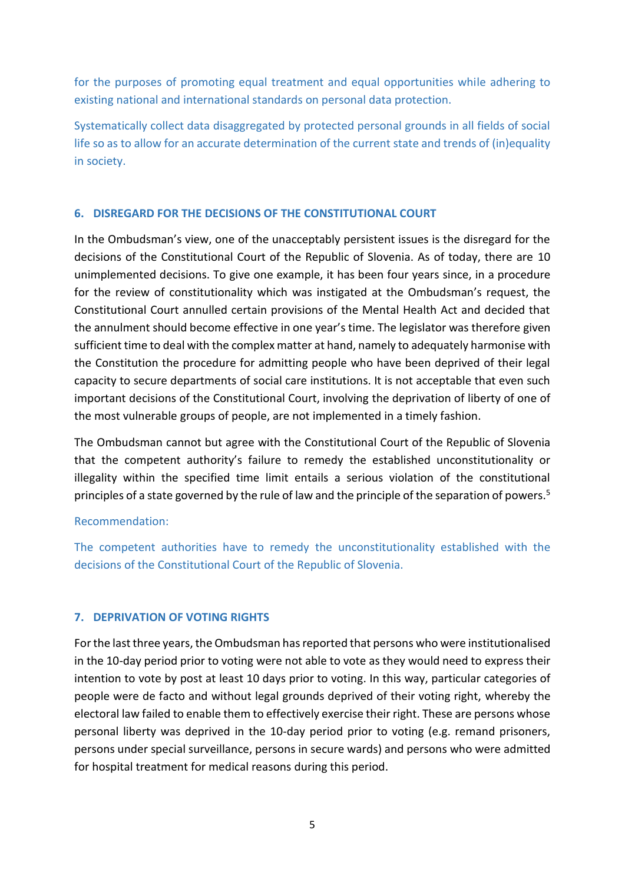for the purposes of promoting equal treatment and equal opportunities while adhering to existing national and international standards on personal data protection.

Systematically collect data disaggregated by protected personal grounds in all fields of social life so as to allow for an accurate determination of the current state and trends of (in)equality in society.

# **6. DISREGARD FOR THE DECISIONS OF THE CONSTITUTIONAL COURT**

In the Ombudsman's view, one of the unacceptably persistent issues is the disregard for the decisions of the Constitutional Court of the Republic of Slovenia. As of today, there are 10 unimplemented decisions. To give one example, it has been four years since, in a procedure for the review of constitutionality which was instigated at the Ombudsman's request, the Constitutional Court annulled certain provisions of the Mental Health Act and decided that the annulment should become effective in one year's time. The legislator was therefore given sufficient time to deal with the complex matter at hand, namely to adequately harmonise with the Constitution the procedure for admitting people who have been deprived of their legal capacity to secure departments of social care institutions. It is not acceptable that even such important decisions of the Constitutional Court, involving the deprivation of liberty of one of the most vulnerable groups of people, are not implemented in a timely fashion.

The Ombudsman cannot but agree with the Constitutional Court of the Republic of Slovenia that the competent authority's failure to remedy the established unconstitutionality or illegality within the specified time limit entails a serious violation of the constitutional principles of a state governed by the rule of law and the principle of the separation of powers.<sup>5</sup>

# Recommendation:

The competent authorities have to remedy the unconstitutionality established with the decisions of the Constitutional Court of the Republic of Slovenia.

# **7. DEPRIVATION OF VOTING RIGHTS**

For the last three years, the Ombudsman has reported that persons who were institutionalised in the 10-day period prior to voting were not able to vote as they would need to express their intention to vote by post at least 10 days prior to voting. In this way, particular categories of people were de facto and without legal grounds deprived of their voting right, whereby the electoral law failed to enable them to effectively exercise their right. These are persons whose personal liberty was deprived in the 10-day period prior to voting (e.g. remand prisoners, persons under special surveillance, persons in secure wards) and persons who were admitted for hospital treatment for medical reasons during this period.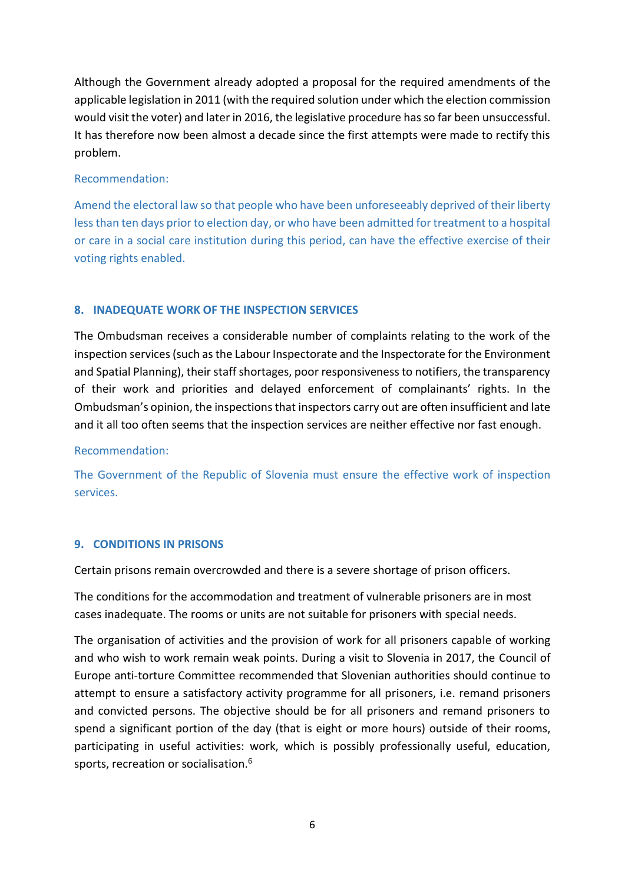Although the Government already adopted a proposal for the required amendments of the applicable legislation in 2011 (with the required solution under which the election commission would visit the voter) and later in 2016, the legislative procedure has so far been unsuccessful. It has therefore now been almost a decade since the first attempts were made to rectify this problem.

# Recommendation:

Amend the electoral law so that people who have been unforeseeably deprived of their liberty less than ten days prior to election day, or who have been admitted for treatment to a hospital or care in a social care institution during this period, can have the effective exercise of their voting rights enabled.

# **8. INADEQUATE WORK OF THE INSPECTION SERVICES**

The Ombudsman receives a considerable number of complaints relating to the work of the inspection services (such as the Labour Inspectorate and the Inspectorate for the Environment and Spatial Planning), their staff shortages, poor responsiveness to notifiers, the transparency of their work and priorities and delayed enforcement of complainants' rights. In the Ombudsman's opinion, the inspections that inspectors carry out are often insufficient and late and it all too often seems that the inspection services are neither effective nor fast enough.

# Recommendation:

The Government of the Republic of Slovenia must ensure the effective work of inspection services.

# **9. CONDITIONS IN PRISONS**

Certain prisons remain overcrowded and there is a severe shortage of prison officers.

The conditions for the accommodation and treatment of vulnerable prisoners are in most cases inadequate. The rooms or units are not suitable for prisoners with special needs.

The organisation of activities and the provision of work for all prisoners capable of working and who wish to work remain weak points. During a visit to Slovenia in 2017, the Council of Europe anti-torture Committee recommended that Slovenian authorities should continue to attempt to ensure a satisfactory activity programme for all prisoners, i.e. remand prisoners and convicted persons. The objective should be for all prisoners and remand prisoners to spend a significant portion of the day (that is eight or more hours) outside of their rooms, participating in useful activities: work, which is possibly professionally useful, education, sports, recreation or socialisation.<sup>6</sup>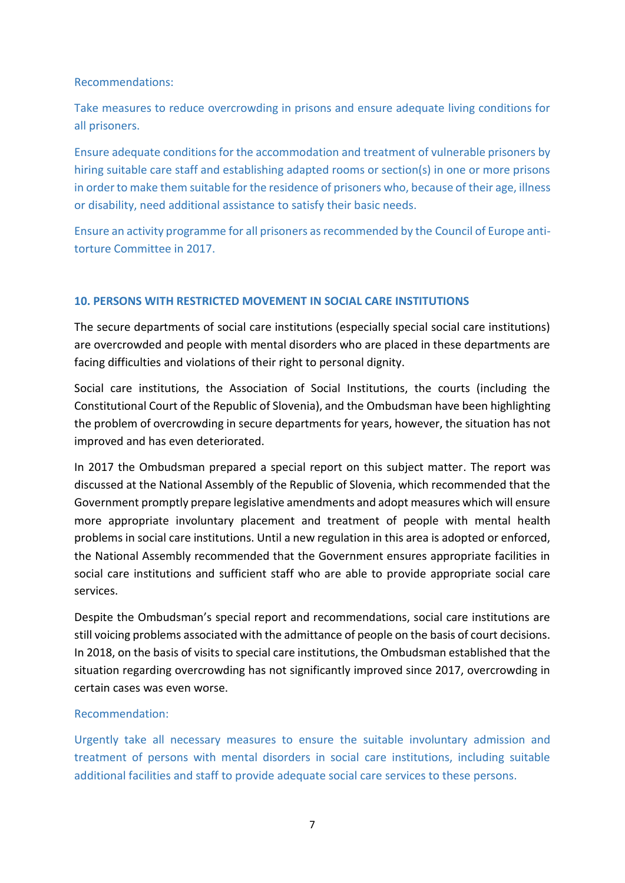Recommendations:

Take measures to reduce overcrowding in prisons and ensure adequate living conditions for all prisoners.

Ensure adequate conditions for the accommodation and treatment of vulnerable prisoners by hiring suitable care staff and establishing adapted rooms or section(s) in one or more prisons in order to make them suitable for the residence of prisoners who, because of their age, illness or disability, need additional assistance to satisfy their basic needs.

Ensure an activity programme for all prisoners as recommended by the Council of Europe antitorture Committee in 2017.

# **10. PERSONS WITH RESTRICTED MOVEMENT IN SOCIAL CARE INSTITUTIONS**

The secure departments of social care institutions (especially special social care institutions) are overcrowded and people with mental disorders who are placed in these departments are facing difficulties and violations of their right to personal dignity.

Social care institutions, the Association of Social Institutions, the courts (including the Constitutional Court of the Republic of Slovenia), and the Ombudsman have been highlighting the problem of overcrowding in secure departments for years, however, the situation has not improved and has even deteriorated.

In 2017 the Ombudsman prepared a special report on this subject matter. The report was discussed at the National Assembly of the Republic of Slovenia, which recommended that the Government promptly prepare legislative amendments and adopt measures which will ensure more appropriate involuntary placement and treatment of people with mental health problems in social care institutions. Until a new regulation in this area is adopted or enforced, the National Assembly recommended that the Government ensures appropriate facilities in social care institutions and sufficient staff who are able to provide appropriate social care services.

Despite the Ombudsman's special report and recommendations, social care institutions are still voicing problems associated with the admittance of people on the basis of court decisions. In 2018, on the basis of visits to special care institutions, the Ombudsman established that the situation regarding overcrowding has not significantly improved since 2017, overcrowding in certain cases was even worse.

# Recommendation:

Urgently take all necessary measures to ensure the suitable involuntary admission and treatment of persons with mental disorders in social care institutions, including suitable additional facilities and staff to provide adequate social care services to these persons.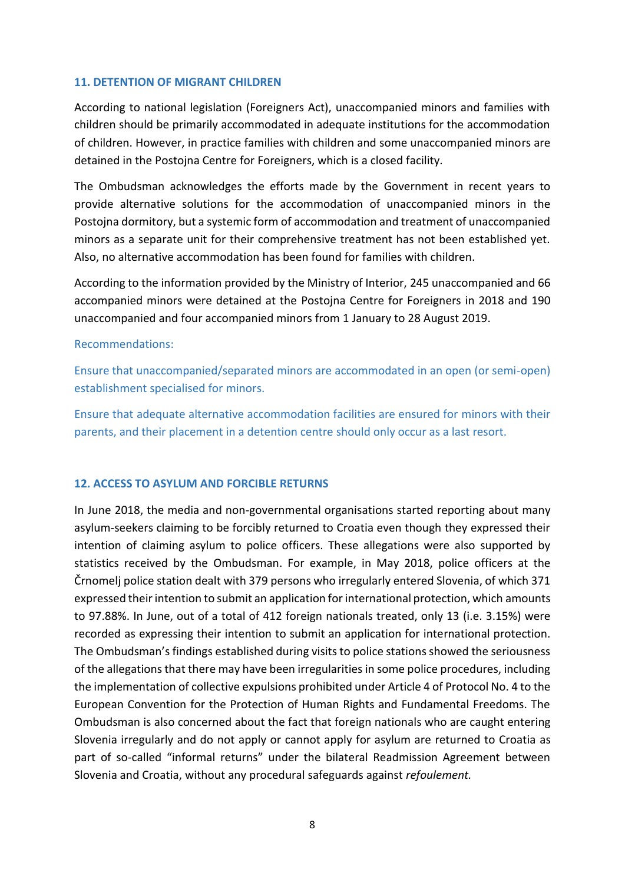#### **11. DETENTION OF MIGRANT CHILDREN**

According to national legislation (Foreigners Act), unaccompanied minors and families with children should be primarily accommodated in adequate institutions for the accommodation of children. However, in practice families with children and some unaccompanied minors are detained in the Postojna Centre for Foreigners, which is a closed facility.

The Ombudsman acknowledges the efforts made by the Government in recent years to provide alternative solutions for the accommodation of unaccompanied minors in the Postojna dormitory, but a systemic form of accommodation and treatment of unaccompanied minors as a separate unit for their comprehensive treatment has not been established yet. Also, no alternative accommodation has been found for families with children.

According to the information provided by the Ministry of Interior, 245 unaccompanied and 66 accompanied minors were detained at the Postojna Centre for Foreigners in 2018 and 190 unaccompanied and four accompanied minors from 1 January to 28 August 2019.

#### Recommendations:

Ensure that unaccompanied/separated minors are accommodated in an open (or semi-open) establishment specialised for minors.

Ensure that adequate alternative accommodation facilities are ensured for minors with their parents, and their placement in a detention centre should only occur as a last resort.

# **12. ACCESS TO ASYLUM AND FORCIBLE RETURNS**

In June 2018, the media and non-governmental organisations started reporting about many asylum-seekers claiming to be forcibly returned to Croatia even though they expressed their intention of claiming asylum to police officers. These allegations were also supported by statistics received by the Ombudsman. For example, in May 2018, police officers at the Črnomelj police station dealt with 379 persons who irregularly entered Slovenia, of which 371 expressed their intention to submit an application for international protection, which amounts to 97.88%. In June, out of a total of 412 foreign nationals treated, only 13 (i.e. 3.15%) were recorded as expressing their intention to submit an application for international protection. The Ombudsman's findings established during visits to police stations showed the seriousness of the allegations that there may have been irregularities in some police procedures, including the implementation of collective expulsions prohibited under Article 4 of Protocol No. 4 to the European Convention for the Protection of Human Rights and Fundamental Freedoms. The Ombudsman is also concerned about the fact that foreign nationals who are caught entering Slovenia irregularly and do not apply or cannot apply for asylum are returned to Croatia as part of so-called "informal returns" under the bilateral Readmission Agreement between Slovenia and Croatia, without any procedural safeguards against *refoulement.*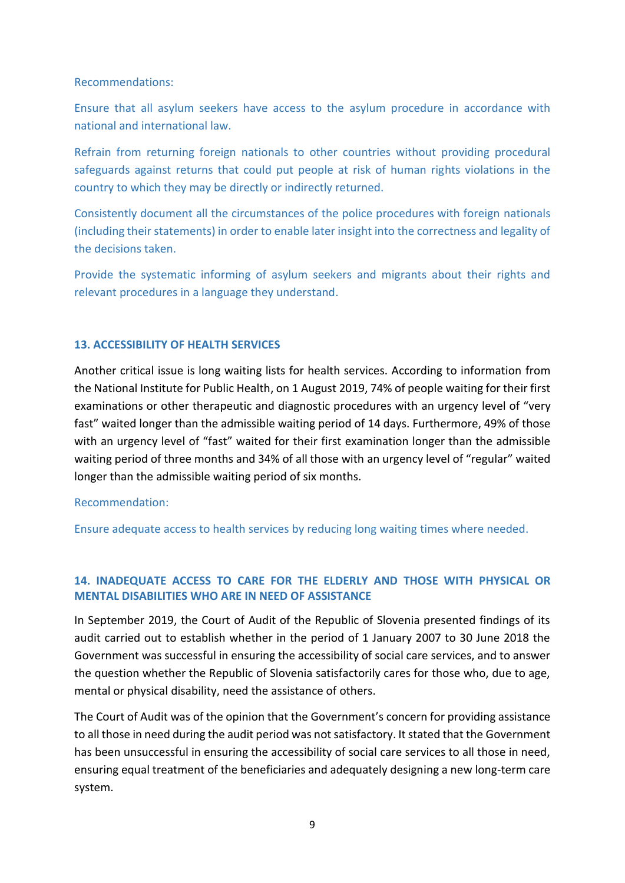#### Recommendations:

Ensure that all asylum seekers have access to the asylum procedure in accordance with national and international law.

Refrain from returning foreign nationals to other countries without providing procedural safeguards against returns that could put people at risk of human rights violations in the country to which they may be directly or indirectly returned.

Consistently document all the circumstances of the police procedures with foreign nationals (including their statements) in order to enable later insight into the correctness and legality of the decisions taken.

Provide the systematic informing of asylum seekers and migrants about their rights and relevant procedures in a language they understand.

# **13. ACCESSIBILITY OF HEALTH SERVICES**

Another critical issue is long waiting lists for health services. According to information from the National Institute for Public Health, on 1 August 2019, 74% of people waiting for their first examinations or other therapeutic and diagnostic procedures with an urgency level of "very fast" waited longer than the admissible waiting period of 14 days. Furthermore, 49% of those with an urgency level of "fast" waited for their first examination longer than the admissible waiting period of three months and 34% of all those with an urgency level of "regular" waited longer than the admissible waiting period of six months.

#### Recommendation:

Ensure adequate access to health services by reducing long waiting times where needed.

# **14. INADEQUATE ACCESS TO CARE FOR THE ELDERLY AND THOSE WITH PHYSICAL OR MENTAL DISABILITIES WHO ARE IN NEED OF ASSISTANCE**

In September 2019, the Court of Audit of the Republic of Slovenia presented findings of its audit carried out to establish whether in the period of 1 January 2007 to 30 June 2018 the Government was successful in ensuring the accessibility of social care services, and to answer the question whether the Republic of Slovenia satisfactorily cares for those who, due to age, mental or physical disability, need the assistance of others.

The Court of Audit was of the opinion that the Government's concern for providing assistance to all those in need during the audit period was not satisfactory. It stated that the Government has been unsuccessful in ensuring the accessibility of social care services to all those in need, ensuring equal treatment of the beneficiaries and adequately designing a new long-term care system.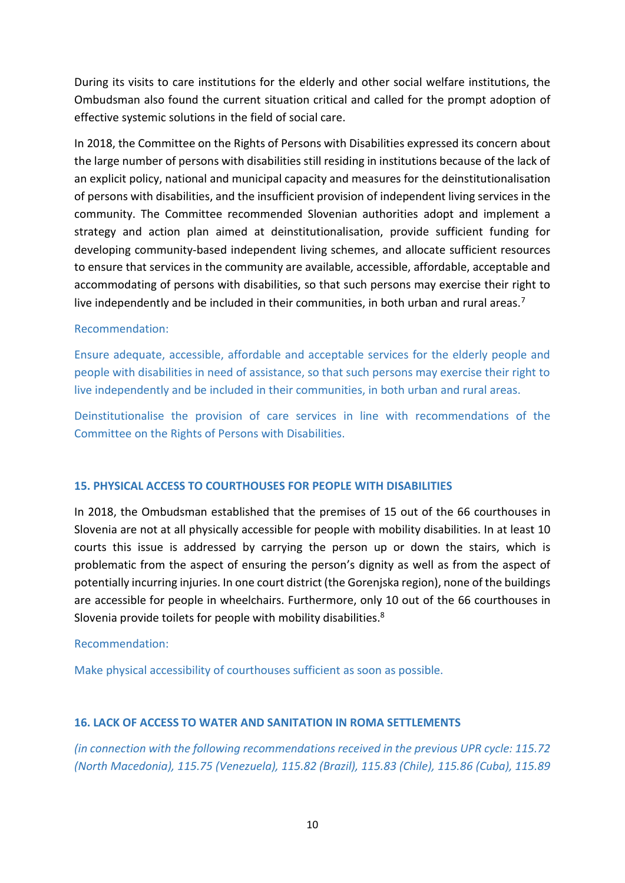During its visits to care institutions for the elderly and other social welfare institutions, the Ombudsman also found the current situation critical and called for the prompt adoption of effective systemic solutions in the field of social care.

In 2018, the Committee on the Rights of Persons with Disabilities expressed its concern about the large number of persons with disabilities still residing in institutions because of the lack of an explicit policy, national and municipal capacity and measures for the deinstitutionalisation of persons with disabilities, and the insufficient provision of independent living services in the community. The Committee recommended Slovenian authorities adopt and implement a strategy and action plan aimed at deinstitutionalisation, provide sufficient funding for developing community-based independent living schemes, and allocate sufficient resources to ensure that services in the community are available, accessible, affordable, acceptable and accommodating of persons with disabilities, so that such persons may exercise their right to live independently and be included in their communities, in both urban and rural areas.<sup>7</sup>

# Recommendation:

Ensure adequate, accessible, affordable and acceptable services for the elderly people and people with disabilities in need of assistance, so that such persons may exercise their right to live independently and be included in their communities, in both urban and rural areas.

Deinstitutionalise the provision of care services in line with recommendations of the Committee on the Rights of Persons with Disabilities.

# **15. PHYSICAL ACCESS TO COURTHOUSES FOR PEOPLE WITH DISABILITIES**

In 2018, the Ombudsman established that the premises of 15 out of the 66 courthouses in Slovenia are not at all physically accessible for people with mobility disabilities. In at least 10 courts this issue is addressed by carrying the person up or down the stairs, which is problematic from the aspect of ensuring the person's dignity as well as from the aspect of potentially incurring injuries. In one court district (the Gorenjska region), none of the buildings are accessible for people in wheelchairs. Furthermore, only 10 out of the 66 courthouses in Slovenia provide toilets for people with mobility disabilities.<sup>8</sup>

# Recommendation:

Make physical accessibility of courthouses sufficient as soon as possible.

# **16. LACK OF ACCESS TO WATER AND SANITATION IN ROMA SETTLEMENTS**

*(in connection with the following recommendations received in the previous UPR cycle: 115.72 (North Macedonia), 115.75 (Venezuela), 115.82 (Brazil), 115.83 (Chile), 115.86 (Cuba), 115.89*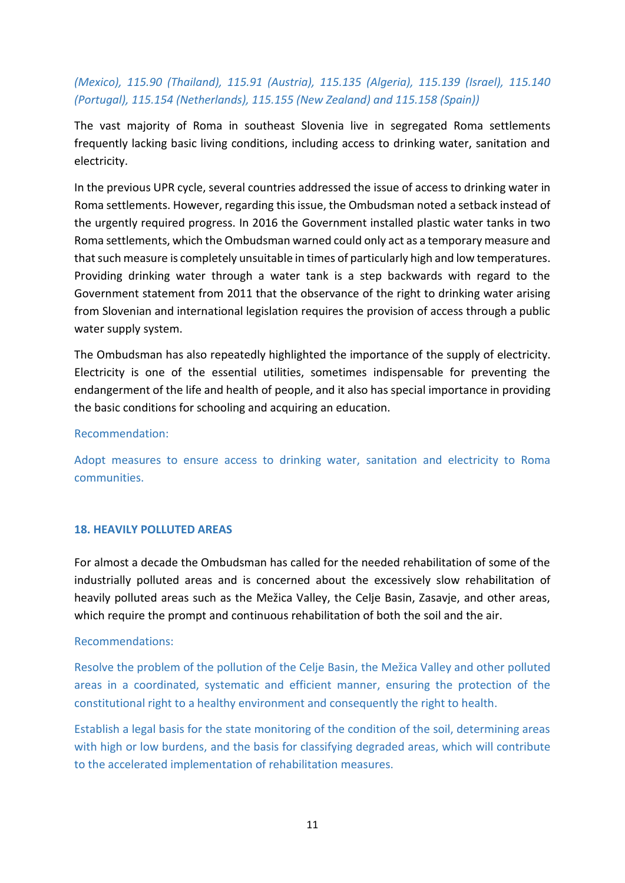# *(Mexico), 115.90 (Thailand), 115.91 (Austria), 115.135 (Algeria), 115.139 (Israel), 115.140 (Portugal), 115.154 (Netherlands), 115.155 (New Zealand) and 115.158 (Spain))*

The vast majority of Roma in southeast Slovenia live in segregated Roma settlements frequently lacking basic living conditions, including access to drinking water, sanitation and electricity.

In the previous UPR cycle, several countries addressed the issue of access to drinking water in Roma settlements. However, regarding this issue, the Ombudsman noted a setback instead of the urgently required progress. In 2016 the Government installed plastic water tanks in two Roma settlements, which the Ombudsman warned could only act as a temporary measure and that such measure is completely unsuitable in times of particularly high and low temperatures. Providing drinking water through a water tank is a step backwards with regard to the Government statement from 2011 that the observance of the right to drinking water arising from Slovenian and international legislation requires the provision of access through a public water supply system.

The Ombudsman has also repeatedly highlighted the importance of the supply of electricity. Electricity is one of the essential utilities, sometimes indispensable for preventing the endangerment of the life and health of people, and it also has special importance in providing the basic conditions for schooling and acquiring an education.

# Recommendation:

Adopt measures to ensure access to drinking water, sanitation and electricity to Roma communities.

# **18. HEAVILY POLLUTED AREAS**

For almost a decade the Ombudsman has called for the needed rehabilitation of some of the industrially polluted areas and is concerned about the excessively slow rehabilitation of heavily polluted areas such as the Mežica Valley, the Celje Basin, Zasavje, and other areas, which require the prompt and continuous rehabilitation of both the soil and the air.

#### Recommendations:

Resolve the problem of the pollution of the Celje Basin, the Mežica Valley and other polluted areas in a coordinated, systematic and efficient manner, ensuring the protection of the constitutional right to a healthy environment and consequently the right to health.

Establish a legal basis for the state monitoring of the condition of the soil, determining areas with high or low burdens, and the basis for classifying degraded areas, which will contribute to the accelerated implementation of rehabilitation measures.